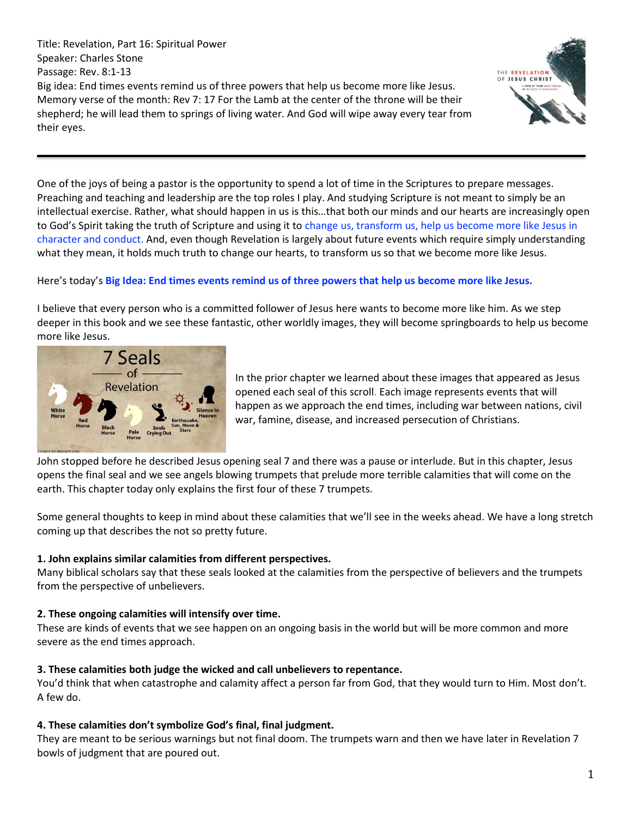Title: Revelation, Part 16: Spiritual Power Speaker: Charles Stone Passage: Rev. 8:1-13 Big idea: End times events remind us of three powers that help us become more like Jesus. Memory verse of the month: Rev 7: 17 For the Lamb at the center of the throne will be their shepherd; he will lead them to springs of living water. And God will wipe away every tear from their eyes.



One of the joys of being a pastor is the opportunity to spend a lot of time in the Scriptures to prepare messages. Preaching and teaching and leadership are the top roles I play. And studying Scripture is not meant to simply be an intellectual exercise. Rather, what should happen in us is this…that both our minds and our hearts are increasingly open to God's Spirit taking the truth of Scripture and using it to change us, transform us, help us become more like Jesus in character and conduct. And, even though Revelation is largely about future events which require simply understanding what they mean, it holds much truth to change our hearts, to transform us so that we become more like Jesus.

## Here's today's **Big Idea: End times events remind us of three powers that help us become more like Jesus.**

I believe that every person who is a committed follower of Jesus here wants to become more like him. As we step deeper in this book and we see these fantastic, other worldly images, they will become springboards to help us become more like Jesus.



In the prior chapter we learned about these images that appeared as Jesus opened each seal of this scroll. Each image represents events that will happen as we approach the end times, including war between nations, civil war, famine, disease, and increased persecution of Christians.

John stopped before he described Jesus opening seal 7 and there was a pause or interlude. But in this chapter, Jesus opens the final seal and we see angels blowing trumpets that prelude more terrible calamities that will come on the earth. This chapter today only explains the first four of these 7 trumpets.

Some general thoughts to keep in mind about these calamities that we'll see in the weeks ahead. We have a long stretch coming up that describes the not so pretty future.

## **1. John explains similar calamities from different perspectives.**

Many biblical scholars say that these seals looked at the calamities from the perspective of believers and the trumpets from the perspective of unbelievers.

#### **2. These ongoing calamities will intensify over time.**

These are kinds of events that we see happen on an ongoing basis in the world but will be more common and more severe as the end times approach.

## **3. These calamities both judge the wicked and call unbelievers to repentance.**

You'd think that when catastrophe and calamity affect a person far from God, that they would turn to Him. Most don't. A few do.

## **4. These calamities don't symbolize God's final, final judgment.**

They are meant to be serious warnings but not final doom. The trumpets warn and then we have later in Revelation 7 bowls of judgment that are poured out.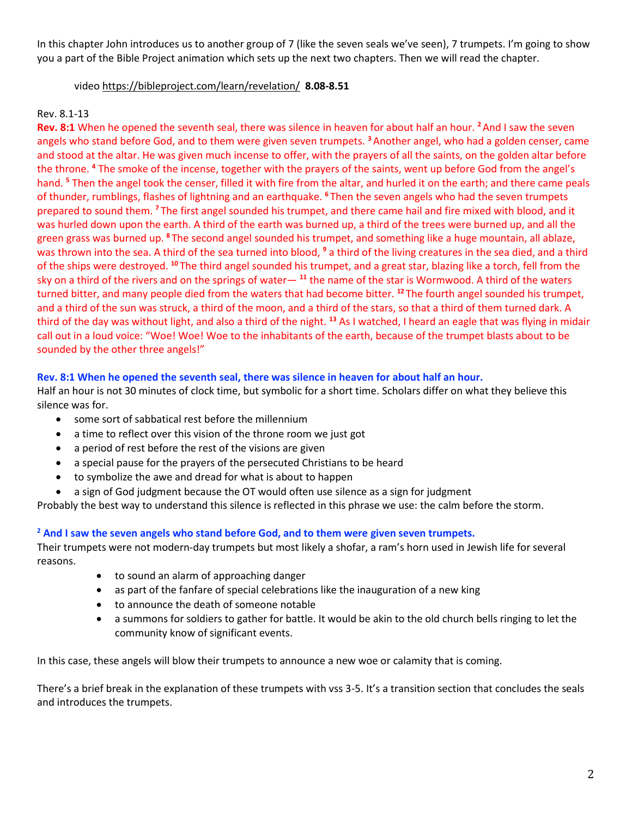In this chapter John introduces us to another group of 7 (like the seven seals we've seen), 7 trumpets. I'm going to show you a part of the Bible Project animation which sets up the next two chapters. Then we will read the chapter.

#### video<https://bibleproject.com/learn/revelation/>**8.08-8.51**

## Rev. 8.1-13

**Rev. 8:1** When he opened the seventh seal, there was silence in heaven for about half an hour. **<sup>2</sup>**And I saw the seven angels who stand before God, and to them were given seven trumpets. **<sup>3</sup>**Another angel, who had a golden censer, came and stood at the altar. He was given much incense to offer, with the prayers of all the saints, on the golden altar before the throne. **<sup>4</sup>** The smoke of the incense, together with the prayers of the saints, went up before God from the angel's hand. **<sup>5</sup>** Then the angel took the censer, filled it with fire from the altar, and hurled it on the earth; and there came peals of thunder, rumblings, flashes of lightning and an earthquake. **<sup>6</sup>** Then the seven angels who had the seven trumpets prepared to sound them. **<sup>7</sup>** The first angel sounded his trumpet, and there came hail and fire mixed with blood, and it was hurled down upon the earth. A third of the earth was burned up, a third of the trees were burned up, and all the green grass was burned up. **<sup>8</sup>** The second angel sounded his trumpet, and something like a huge mountain, all ablaze, was thrown into the sea. A third of the sea turned into blood, **<sup>9</sup>** a third of the living creatures in the sea died, and a third of the ships were destroyed. **<sup>10</sup>** The third angel sounded his trumpet, and a great star, blazing like a torch, fell from the sky on a third of the rivers and on the springs of water— **<sup>11</sup>** the name of the star is Wormwood. A third of the waters turned bitter, and many people died from the waters that had become bitter. **<sup>12</sup>** The fourth angel sounded his trumpet, and a third of the sun was struck, a third of the moon, and a third of the stars, so that a third of them turned dark. A third of the day was without light, and also a third of the night. **<sup>13</sup>** As I watched, I heard an eagle that was flying in midair call out in a loud voice: "Woe! Woe! Woe to the inhabitants of the earth, because of the trumpet blasts about to be sounded by the other three angels!"

#### **Rev. 8:1 When he opened the seventh seal, there was silence in heaven for about half an hour.**

Half an hour is not 30 minutes of clock time, but symbolic for a short time. Scholars differ on what they believe this silence was for.

- some sort of sabbatical rest before the millennium
- a time to reflect over this vision of the throne room we just got
- a period of rest before the rest of the visions are given
- a special pause for the prayers of the persecuted Christians to be heard
- to symbolize the awe and dread for what is about to happen
- a sign of God judgment because the OT would often use silence as a sign for judgment

Probably the best way to understand this silence is reflected in this phrase we use: the calm before the storm.

#### **<sup>2</sup> And I saw the seven angels who stand before God, and to them were given seven trumpets.**

Their trumpets were not modern-day trumpets but most likely a shofar, a ram's horn used in Jewish life for several reasons.

- to sound an alarm of approaching danger
- as part of the fanfare of special celebrations like the inauguration of a new king
- to announce the death of someone notable
- a summons for soldiers to gather for battle. It would be akin to the old church bells ringing to let the community know of significant events.

In this case, these angels will blow their trumpets to announce a new woe or calamity that is coming.

There's a brief break in the explanation of these trumpets with vss 3-5. It's a transition section that concludes the seals and introduces the trumpets.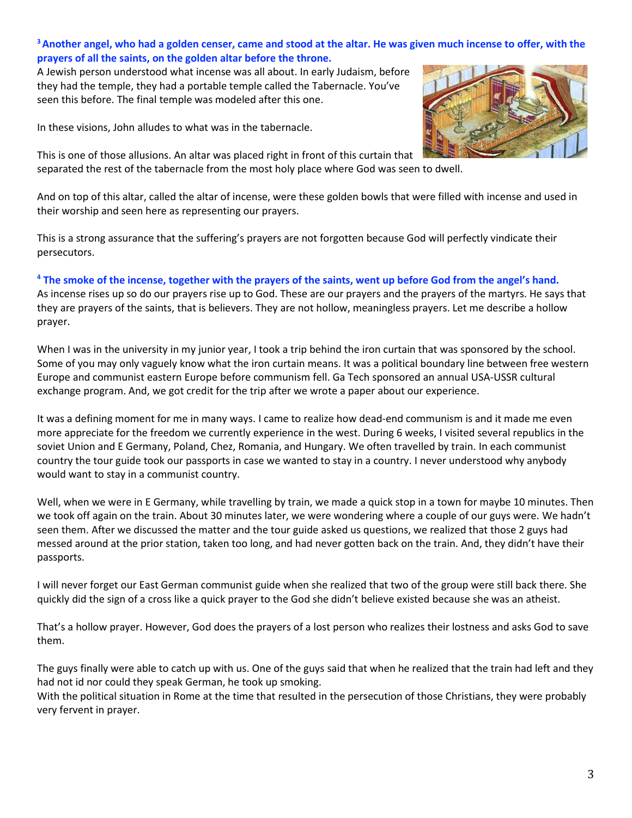## **<sup>3</sup>Another angel, who had a golden censer, came and stood at the altar. He was given much incense to offer, with the prayers of all the saints, on the golden altar before the throne.**

A Jewish person understood what incense was all about. In early Judaism, before they had the temple, they had a portable temple called the Tabernacle. You've seen this before. The final temple was modeled after this one.

In these visions, John alludes to what was in the tabernacle.

This is one of those allusions. An altar was placed right in front of this curtain that separated the rest of the tabernacle from the most holy place where God was seen to dwell.



And on top of this altar, called the altar of incense, were these golden bowls that were filled with incense and used in their worship and seen here as representing our prayers.

This is a strong assurance that the suffering's prayers are not forgotten because God will perfectly vindicate their persecutors.

## **<sup>4</sup> The smoke of the incense, together with the prayers of the saints, went up before God from the angel's hand.**

As incense rises up so do our prayers rise up to God. These are our prayers and the prayers of the martyrs. He says that they are prayers of the saints, that is believers. They are not hollow, meaningless prayers. Let me describe a hollow prayer.

When I was in the university in my junior year, I took a trip behind the iron curtain that was sponsored by the school. Some of you may only vaguely know what the iron curtain means. It was a political boundary line between free western Europe and communist eastern Europe before communism fell. Ga Tech sponsored an annual USA-USSR cultural exchange program. And, we got credit for the trip after we wrote a paper about our experience.

It was a defining moment for me in many ways. I came to realize how dead-end communism is and it made me even more appreciate for the freedom we currently experience in the west. During 6 weeks, I visited several republics in the soviet Union and E Germany, Poland, Chez, Romania, and Hungary. We often travelled by train. In each communist country the tour guide took our passports in case we wanted to stay in a country. I never understood why anybody would want to stay in a communist country.

Well, when we were in E Germany, while travelling by train, we made a quick stop in a town for maybe 10 minutes. Then we took off again on the train. About 30 minutes later, we were wondering where a couple of our guys were. We hadn't seen them. After we discussed the matter and the tour guide asked us questions, we realized that those 2 guys had messed around at the prior station, taken too long, and had never gotten back on the train. And, they didn't have their passports.

I will never forget our East German communist guide when she realized that two of the group were still back there. She quickly did the sign of a cross like a quick prayer to the God she didn't believe existed because she was an atheist.

That's a hollow prayer. However, God does the prayers of a lost person who realizes their lostness and asks God to save them.

The guys finally were able to catch up with us. One of the guys said that when he realized that the train had left and they had not id nor could they speak German, he took up smoking.

With the political situation in Rome at the time that resulted in the persecution of those Christians, they were probably very fervent in prayer.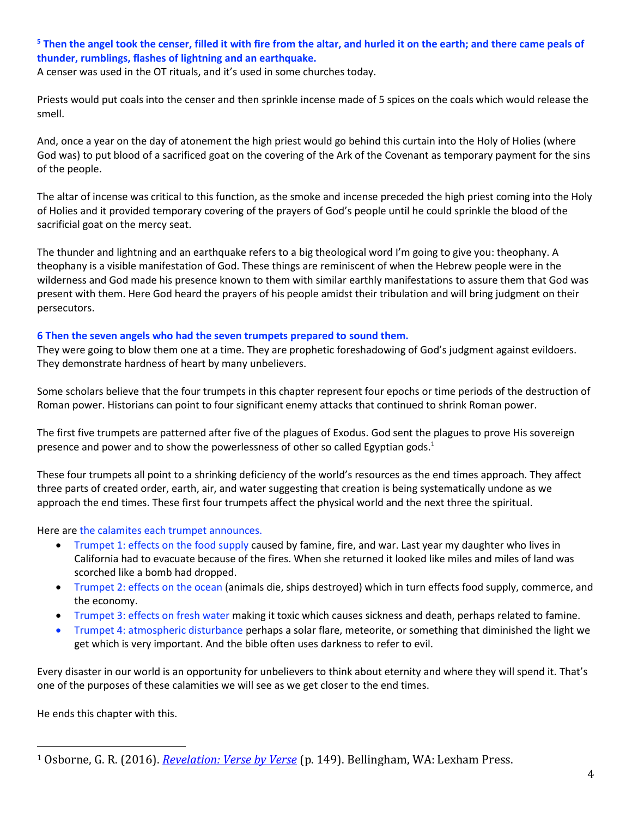# **<sup>5</sup> Then the angel took the censer, filled it with fire from the altar, and hurled it on the earth; and there came peals of thunder, rumblings, flashes of lightning and an earthquake.**

A censer was used in the OT rituals, and it's used in some churches today.

Priests would put coals into the censer and then sprinkle incense made of 5 spices on the coals which would release the smell.

And, once a year on the day of atonement the high priest would go behind this curtain into the Holy of Holies (where God was) to put blood of a sacrificed goat on the covering of the Ark of the Covenant as temporary payment for the sins of the people.

The altar of incense was critical to this function, as the smoke and incense preceded the high priest coming into the Holy of Holies and it provided temporary covering of the prayers of God's people until he could sprinkle the blood of the sacrificial goat on the mercy seat.

The thunder and lightning and an earthquake refers to a big theological word I'm going to give you: theophany. A theophany is a visible manifestation of God. These things are reminiscent of when the Hebrew people were in the wilderness and God made his presence known to them with similar earthly manifestations to assure them that God was present with them. Here God heard the prayers of his people amidst their tribulation and will bring judgment on their persecutors.

#### **6 Then the seven angels who had the seven trumpets prepared to sound them.**

They were going to blow them one at a time. They are prophetic foreshadowing of God's judgment against evildoers. They demonstrate hardness of heart by many unbelievers.

Some scholars believe that the four trumpets in this chapter represent four epochs or time periods of the destruction of Roman power. Historians can point to four significant enemy attacks that continued to shrink Roman power.

The first five trumpets are patterned after five of the plagues of Exodus. God sent the plagues to prove His sovereign presence and power and to show the powerlessness of other so called Egyptian gods.<sup>1</sup>

These four trumpets all point to a shrinking deficiency of the world's resources as the end times approach. They affect three parts of created order, earth, air, and water suggesting that creation is being systematically undone as we approach the end times. These first four trumpets affect the physical world and the next three the spiritual.

#### Here are the calamites each trumpet announces.

- Trumpet 1: effects on the food supply caused by famine, fire, and war. Last year my daughter who lives in California had to evacuate because of the fires. When she returned it looked like miles and miles of land was scorched like a bomb had dropped.
- Trumpet 2: effects on the ocean (animals die, ships destroyed) which in turn effects food supply, commerce, and the economy.
- Trumpet 3: effects on fresh water making it toxic which causes sickness and death, perhaps related to famine.
- Trumpet 4: atmospheric disturbance perhaps a solar flare, meteorite, or something that diminished the light we get which is very important. And the bible often uses darkness to refer to evil.

Every disaster in our world is an opportunity for unbelievers to think about eternity and where they will spend it. That's one of the purposes of these calamities we will see as we get closer to the end times.

He ends this chapter with this.

<sup>1</sup> Osborne, G. R. (2016). *[Revelation: Verse by Verse](https://ref.ly/logosres/vbv87rev?ref=Bible.Re8.2-6&off=195&ctx=+Exodus+7%E2%80%9310%2c+which+~had+two+main+purpose)* (p. 149). Bellingham, WA: Lexham Press.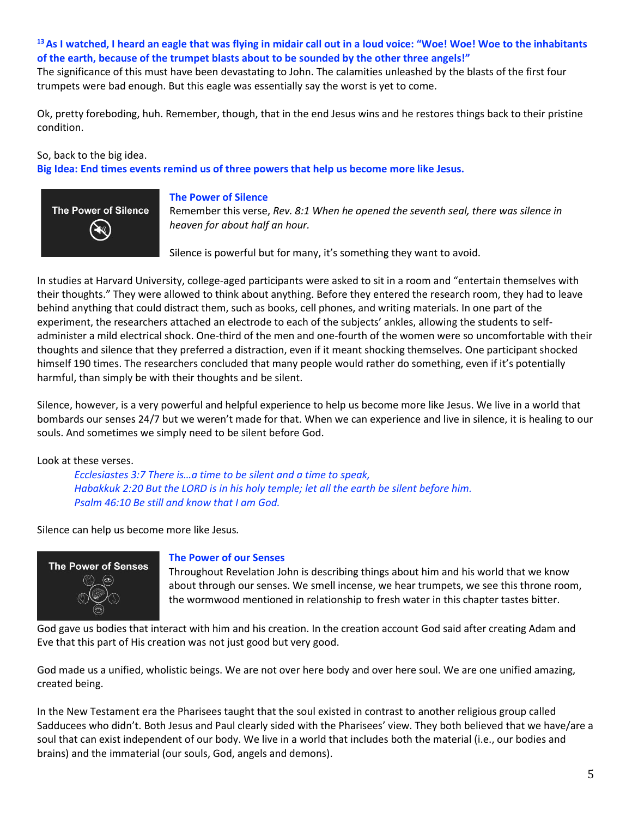# **<sup>13</sup>As I watched, I heard an eagle that was flying in midair call out in a loud voice: "Woe! Woe! Woe to the inhabitants of the earth, because of the trumpet blasts about to be sounded by the other three angels!"**

The significance of this must have been devastating to John. The calamities unleashed by the blasts of the first four trumpets were bad enough. But this eagle was essentially say the worst is yet to come.

Ok, pretty foreboding, huh. Remember, though, that in the end Jesus wins and he restores things back to their pristine condition.

So, back to the big idea.

**Big Idea: End times events remind us of three powers that help us become more like Jesus.**



#### **The Power of Silence**

Remember this verse, *Rev. 8:1 When he opened the seventh seal, there was silence in heaven for about half an hour.*

Silence is powerful but for many, it's something they want to avoid.

In studies at Harvard University, college-aged participants were asked to sit in a room and "entertain themselves with their thoughts." They were allowed to think about anything. Before they entered the research room, they had to leave behind anything that could distract them, such as books, cell phones, and writing materials. In one part of the experiment, the researchers attached an electrode to each of the subjects' ankles, allowing the students to selfadminister a mild electrical shock. One-third of the men and one-fourth of the women were so uncomfortable with their thoughts and silence that they preferred a distraction, even if it meant shocking themselves. One participant shocked himself 190 times. The researchers concluded that many people would rather do something, even if it's potentially harmful, than simply be with their thoughts and be silent.

Silence, however, is a very powerful and helpful experience to help us become more like Jesus. We live in a world that bombards our senses 24/7 but we weren't made for that. When we can experience and live in silence, it is healing to our souls. And sometimes we simply need to be silent before God.

#### Look at these verses.

*Ecclesiastes 3:7 There is…a time to be silent and a time to speak, Habakkuk 2:20 But the LORD is in his holy temple; let all the earth be silent before him. Psalm 46:10 Be still and know that I am God.* 

Silence can help us become more like Jesus*.*



#### **The Power of our Senses**

Throughout Revelation John is describing things about him and his world that we know about through our senses. We smell incense, we hear trumpets, we see this throne room, the wormwood mentioned in relationship to fresh water in this chapter tastes bitter.

God gave us bodies that interact with him and his creation. In the creation account God said after creating Adam and Eve that this part of His creation was not just good but very good.

God made us a unified, wholistic beings. We are not over here body and over here soul. We are one unified amazing, created being.

In the New Testament era the Pharisees taught that the soul existed in contrast to another religious group called Sadducees who didn't. Both Jesus and Paul clearly sided with the Pharisees' view. They both believed that we have/are a soul that can exist independent of our body. We live in a world that includes both the material (i.e., our bodies and brains) and the immaterial (our souls, God, angels and demons).